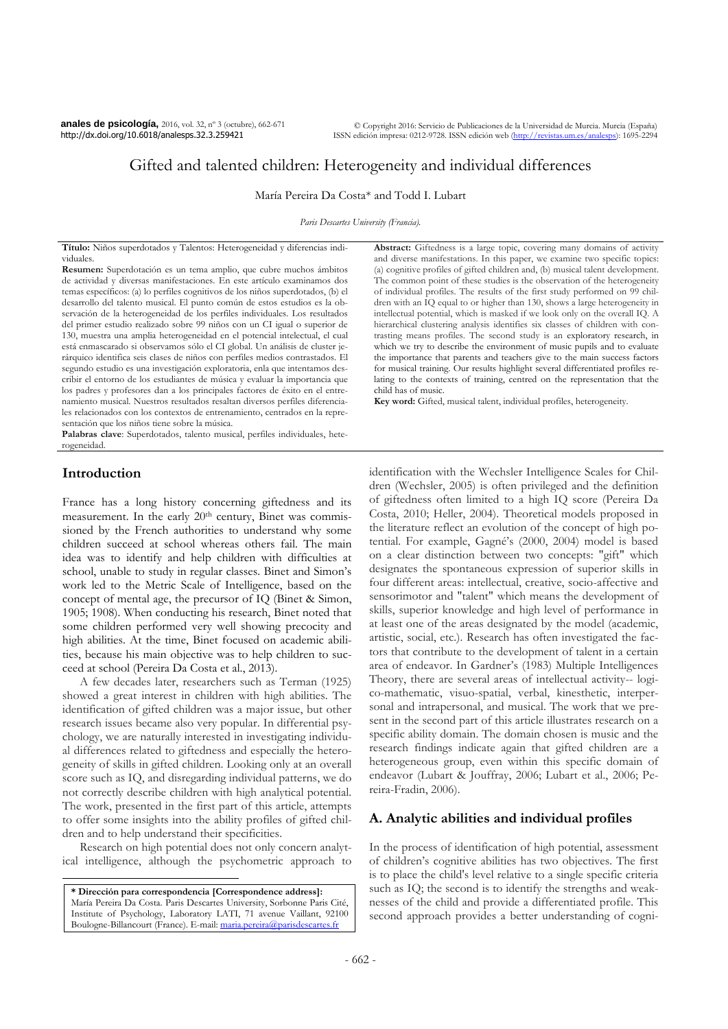**anales de psicología,** 2016, vol. 32, nº 3 (octubre), 662-671 http://dx.doi.org/10.6018/analesps.32.3.259421

© Copyright 2016: Servicio de Publicaciones de la Universidad de Murcia. Murcia (España) ISSN edición impresa: 0212-9728. ISSN edición web (http://revistas.um.es/analesps): 1695-2294

# Gifted and talented children: Heterogeneity and individual differences

María Pereira Da Costa\* and Todd I. Lubart

*Paris Descartes University (Francia).*

**Título:** Niños superdotados y Talentos: Heterogeneidad y diferencias individuales.

**Resumen:** Superdotación es un tema amplio, que cubre muchos ámbitos de actividad y diversas manifestaciones. En este artículo examinamos dos temas específicos: (a) lo perfiles cognitivos de los niños superdotados, (b) el desarrollo del talento musical. El punto común de estos estudios es la observación de la heterogeneidad de los perfiles individuales. Los resultados del primer estudio realizado sobre 99 niños con un CI igual o superior de 130, muestra una amplia heterogeneidad en el potencial intelectual, el cual está enmascarado si observamos sólo el CI global. Un análisis de cluster jerárquico identifica seis clases de niños con perfiles medios contrastados. El segundo estudio es una investigación exploratoria, enla que intentamos describir el entorno de los estudiantes de música y evaluar la importancia que los padres y profesores dan a los principales factores de éxito en el entrenamiento musical. Nuestros resultados resaltan diversos perfiles diferenciales relacionados con los contextos de entrenamiento, centrados en la representación que los niños tiene sobre la música.

**Palabras clave**: Superdotados, talento musical, perfiles individuales, heterogeneidad.

## **Introduction**

 $\overline{a}$ 

France has a long history concerning giftedness and its measurement. In the early 20th century, Binet was commissioned by the French authorities to understand why some children succeed at school whereas others fail. The main idea was to identify and help children with difficulties at school, unable to study in regular classes. Binet and Simon"s work led to the Metric Scale of Intelligence, based on the concept of mental age, the precursor of IQ (Binet & Simon, 1905; 1908). When conducting his research, Binet noted that some children performed very well showing precocity and high abilities. At the time, Binet focused on academic abilities, because his main objective was to help children to succeed at school (Pereira Da Costa et al., 2013).

A few decades later, researchers such as Terman (1925) showed a great interest in children with high abilities. The identification of gifted children was a major issue, but other research issues became also very popular. In differential psychology, we are naturally interested in investigating individual differences related to giftedness and especially the heterogeneity of skills in gifted children. Looking only at an overall score such as IQ, and disregarding individual patterns, we do not correctly describe children with high analytical potential. The work, presented in the first part of this article, attempts to offer some insights into the ability profiles of gifted children and to help understand their specificities.

Research on high potential does not only concern analytical intelligence, although the psychometric approach to

**\* Dirección para correspondencia [Correspondence address]:** María Pereira Da Costa. Paris Descartes University, Sorbonne Paris Cité, Institute of Psychology, Laboratory LATI, 71 avenue Vaillant, 92100 Boulogne-Billancourt (France). E-mail[: maria.pereira@parisdescartes.fr](mailto:maria.pereira@parisdescartes.fr)

**Abstract:** Giftedness is a large topic, covering many domains of activity and diverse manifestations. In this paper, we examine two specific topics: (a) cognitive profiles of gifted children and, (b) musical talent development. The common point of these studies is the observation of the heterogeneity of individual profiles. The results of the first study performed on 99 children with an IQ equal to or higher than 130, shows a large heterogeneity in intellectual potential, which is masked if we look only on the overall IQ. A hierarchical clustering analysis identifies six classes of children with contrasting means profiles. The second study is an exploratory research, in which we try to describe the environment of music pupils and to evaluate the importance that parents and teachers give to the main success factors for musical training. Our results highlight several differentiated profiles relating to the contexts of training, centred on the representation that the child has of music.

**Key word:** Gifted, musical talent, individual profiles, heterogeneity.

identification with the Wechsler Intelligence Scales for Children (Wechsler, 2005) is often privileged and the definition of giftedness often limited to a high IQ score (Pereira Da Costa, 2010; Heller, 2004). Theoretical models proposed in the literature reflect an evolution of the concept of high potential. For example, Gagné's (2000, 2004) model is based on a clear distinction between two concepts: "gift" which designates the spontaneous expression of superior skills in four different areas: intellectual, creative, socio-affective and sensorimotor and "talent" which means the development of skills, superior knowledge and high level of performance in at least one of the areas designated by the model (academic, artistic, social, etc.). Research has often investigated the factors that contribute to the development of talent in a certain area of endeavor. In Gardner"s (1983) Multiple Intelligences Theory, there are several areas of intellectual activity-- logico-mathematic, visuo-spatial, verbal, kinesthetic, interpersonal and intrapersonal, and musical. The work that we present in the second part of this article illustrates research on a specific ability domain. The domain chosen is music and the research findings indicate again that gifted children are a heterogeneous group, even within this specific domain of endeavor (Lubart & Jouffray, 2006; Lubart et al., 2006; Pereira-Fradin, 2006).

### **A. Analytic abilities and individual profiles**

In the process of identification of high potential, assessment of children"s cognitive abilities has two objectives. The first is to place the child's level relative to a single specific criteria such as IQ; the second is to identify the strengths and weaknesses of the child and provide a differentiated profile. This second approach provides a better understanding of cogni-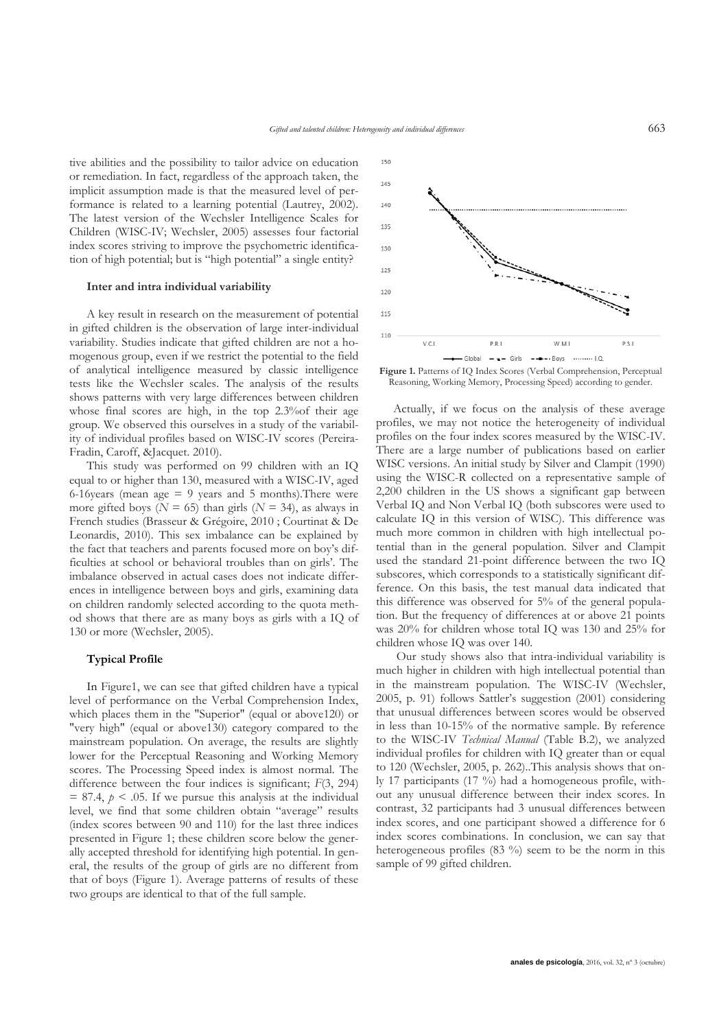tive abilities and the possibility to tailor advice on education or remediation. In fact, regardless of the approach taken, the implicit assumption made is that the measured level of performance is related to a learning potential (Lautrey, 2002). The latest version of the Wechsler Intelligence Scales for Children (WISC-IV; Wechsler, 2005) assesses four factorial index scores striving to improve the psychometric identification of high potential; but is "high potential" a single entity?

### **Inter and intra individual variability**

A key result in research on the measurement of potential in gifted children is the observation of large inter-individual variability. Studies indicate that gifted children are not a homogenous group, even if we restrict the potential to the field of analytical intelligence measured by classic intelligence tests like the Wechsler scales. The analysis of the results shows patterns with very large differences between children whose final scores are high, in the top 2.3%of their age group. We observed this ourselves in a study of the variability of individual profiles based on WISC-IV scores (Pereira-Fradin, Caroff, &Jacquet. 2010).

This study was performed on 99 children with an IQ equal to or higher than 130, measured with a WISC-IV, aged 6-16 years (mean age  $= 9$  years and 5 months). There were more gifted boys ( $N = 65$ ) than girls ( $N = 34$ ), as always in French studies (Brasseur & Grégoire, 2010 ; Courtinat & De Leonardis, 2010). This sex imbalance can be explained by the fact that teachers and parents focused more on boy"s difficulties at school or behavioral troubles than on girls'. The imbalance observed in actual cases does not indicate differences in intelligence between boys and girls, examining data on children randomly selected according to the quota method shows that there are as many boys as girls with a IQ of 130 or more (Wechsler, 2005).

### **Typical Profile**

In Figure1, we can see that gifted children have a typical level of performance on the Verbal Comprehension Index, which places them in the "Superior" (equal or above120) or "very high" (equal or above130) category compared to the mainstream population. On average, the results are slightly lower for the Perceptual Reasoning and Working Memory scores. The Processing Speed index is almost normal. The difference between the four indices is significant; *F*(3, 294)  $= 87.4$ ,  $p < .05$ . If we pursue this analysis at the individual level, we find that some children obtain "average" results (index scores between 90 and 110) for the last three indices presented in Figure 1; these children score below the generally accepted threshold for identifying high potential. In general, the results of the group of girls are no different from that of boys (Figure 1). Average patterns of results of these two groups are identical to that of the full sample.



**Figure 1.** Patterns of IQ Index Scores (Verbal Comprehension, Perceptual Reasoning, Working Memory, Processing Speed) according to gender.

Actually, if we focus on the analysis of these average profiles, we may not notice the heterogeneity of individual profiles on the four index scores measured by the WISC-IV. There are a large number of publications based on earlier WISC versions. An initial study by Silver and Clampit (1990) using the WISC-R collected on a representative sample of 2,200 children in the US shows a significant gap between Verbal IQ and Non Verbal IQ (both subscores were used to calculate IQ in this version of WISC). This difference was much more common in children with high intellectual potential than in the general population. Silver and Clampit used the standard 21-point difference between the two IQ subscores, which corresponds to a statistically significant difference. On this basis, the test manual data indicated that this difference was observed for 5% of the general population. But the frequency of differences at or above 21 points was 20% for children whose total IQ was 130 and 25% for children whose IQ was over 140.

Our study shows also that intra-individual variability is much higher in children with high intellectual potential than in the mainstream population. The WISC-IV (Wechsler, 2005, p. 91) follows Sattler"s suggestion (2001) considering that unusual differences between scores would be observed in less than 10-15% of the normative sample. By reference to the WISC-IV *Technical Manual* (Table B.2), we analyzed individual profiles for children with IQ greater than or equal to 120 (Wechsler, 2005, p. 262)..This analysis shows that only 17 participants (17 %) had a homogeneous profile, without any unusual difference between their index scores. In contrast, 32 participants had 3 unusual differences between index scores, and one participant showed a difference for 6 index scores combinations. In conclusion, we can say that heterogeneous profiles (83 %) seem to be the norm in this sample of 99 gifted children.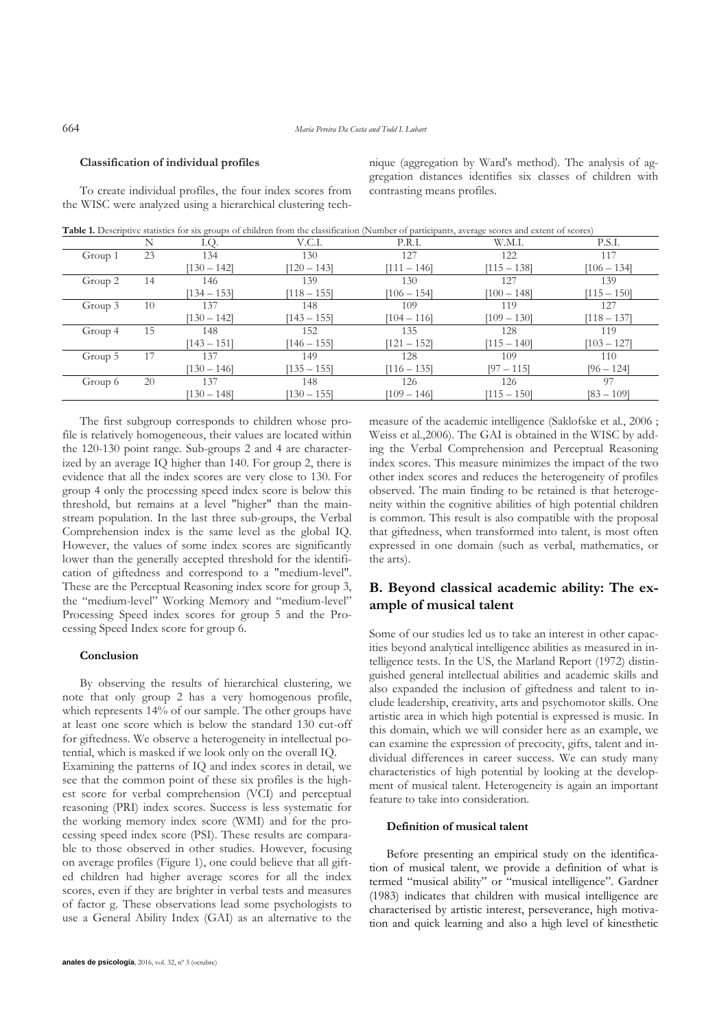### **Classification of individual profiles**

To create individual profiles, the four index scores from the WISC were analyzed using a hierarchical clustering technique (aggregation by Ward's method). The analysis of aggregation distances identifies six classes of children with contrasting means profiles.

Table 1. Descriptive statistics for six groups of children from the classification (Number of participants, average scores and extent of scores)

|         | N  | I.Q.          | V.C.I.        | P.R.I.        | W.M.I.        | P.S.I.        |
|---------|----|---------------|---------------|---------------|---------------|---------------|
| Group 1 | 23 | 134           | 130           | 127           | 122           | 117           |
|         |    | $[130 - 142]$ | $[120 - 143]$ | $[111 - 146]$ | $[115 - 138]$ | $[106 - 134]$ |
| Group 2 | 14 | 146           | 139           | 130           | 127           | 139           |
|         |    | $[134 - 153]$ | $[118 - 155]$ | $[106 - 154]$ | $[100 - 148]$ | $[115 - 150]$ |
| Group 3 | 10 | 137           | 148           | 109           | 119           | 127           |
|         |    | $[130 - 142]$ | [143 – 155]   | $[104 - 116]$ | $[109 - 130]$ | $[118 - 137]$ |
| Group 4 | 15 | 148           | 152           | 135           | 128           | 119           |
|         |    | $[143 - 151]$ | [146 – 155]   | $[121 - 152]$ | $[115 - 140]$ | $[103 - 127]$ |
| Group 5 | 17 | 137           | 149           | 128           | 109           | 110           |
|         |    | $[130 - 146]$ | [135 – 155]   | $[116 - 135]$ | $[97 - 115]$  | $[96 - 124]$  |
| Group 6 | 20 | 137           | 148           | 126           | 126           | 97            |
|         |    | $[130 - 148]$ | $[130 - 155]$ | [109 – 146]   | $[115 - 150]$ | $[83 - 109]$  |

The first subgroup corresponds to children whose profile is relatively homogeneous, their values are located within the 120-130 point range. Sub-groups 2 and 4 are characterized by an average IQ higher than 140. For group 2, there is evidence that all the index scores are very close to 130. For group 4 only the processing speed index score is below this threshold, but remains at a level "higher" than the mainstream population. In the last three sub-groups, the Verbal Comprehension index is the same level as the global IQ. However, the values of some index scores are significantly lower than the generally accepted threshold for the identification of giftedness and correspond to a "medium-level". These are the Perceptual Reasoning index score for group 3, the "medium-level" Working Memory and "medium-level" Processing Speed index scores for group 5 and the Processing Speed Index score for group 6.

### **Conclusion**

By observing the results of hierarchical clustering, we note that only group 2 has a very homogenous profile, which represents 14% of our sample. The other groups have at least one score which is below the standard 130 cut-off for giftedness. We observe a heterogeneity in intellectual potential, which is masked if we look only on the overall IQ. Examining the patterns of IQ and index scores in detail, we see that the common point of these six profiles is the highest score for verbal comprehension (VCI) and perceptual reasoning (PRI) index scores. Success is less systematic for the working memory index score (WMI) and for the processing speed index score (PSI). These results are comparable to those observed in other studies. However, focusing on average profiles (Figure 1), one could believe that all gifted children had higher average scores for all the index scores, even if they are brighter in verbal tests and measures of factor g. These observations lead some psychologists to use a General Ability Index (GAI) as an alternative to the

measure of the academic intelligence (Saklofske et al., 2006 ; Weiss et al.,2006). The GAI is obtained in the WISC by adding the Verbal Comprehension and Perceptual Reasoning index scores. This measure minimizes the impact of the two other index scores and reduces the heterogeneity of profiles observed. The main finding to be retained is that heterogeneity within the cognitive abilities of high potential children is common. This result is also compatible with the proposal that giftedness, when transformed into talent, is most often expressed in one domain (such as verbal, mathematics, or the arts).

## **B. Beyond classical academic ability: The example of musical talent**

Some of our studies led us to take an interest in other capacities beyond analytical intelligence abilities as measured in intelligence tests. In the US, the Marland Report (1972) distinguished general intellectual abilities and academic skills and also expanded the inclusion of giftedness and talent to include leadership, creativity, arts and psychomotor skills. One artistic area in which high potential is expressed is music. In this domain, which we will consider here as an example, we can examine the expression of precocity, gifts, talent and individual differences in career success. We can study many characteristics of high potential by looking at the development of musical talent. Heterogeneity is again an important feature to take into consideration.

### **Definition of musical talent**

Before presenting an empirical study on the identification of musical talent, we provide a definition of what is termed "musical ability" or "musical intelligence". Gardner (1983) indicates that children with musical intelligence are characterised by artistic interest, perseverance, high motivation and quick learning and also a high level of kinesthetic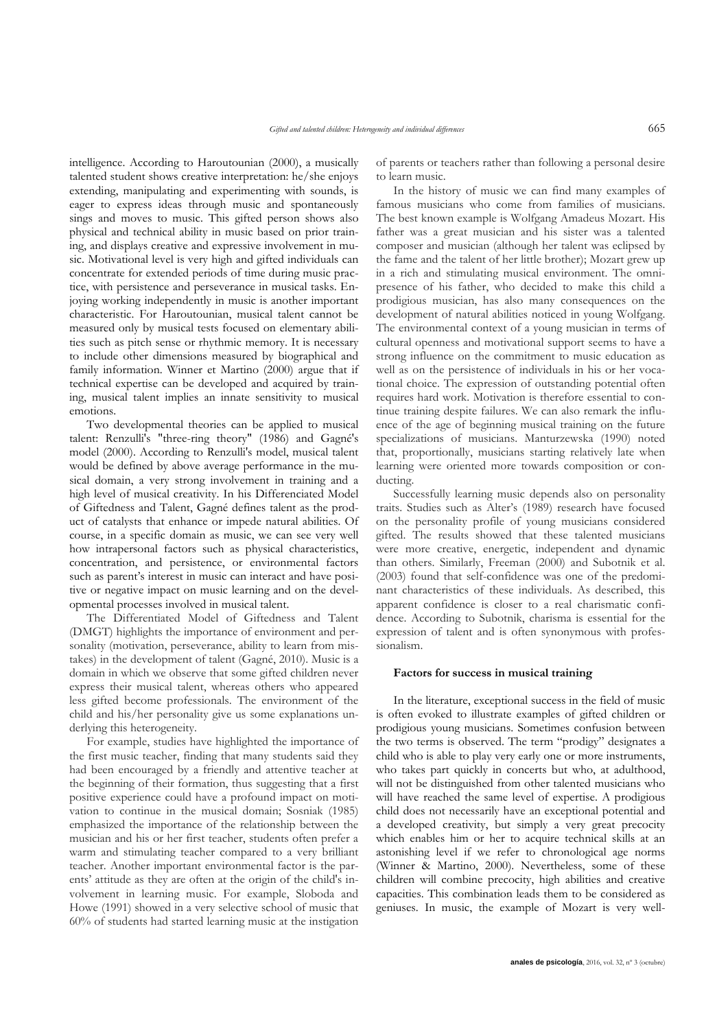intelligence. According to Haroutounian (2000), a musically talented student shows creative interpretation: he/she enjoys extending, manipulating and experimenting with sounds, is eager to express ideas through music and spontaneously sings and moves to music. This gifted person shows also physical and technical ability in music based on prior training, and displays creative and expressive involvement in music. Motivational level is very high and gifted individuals can concentrate for extended periods of time during music practice, with persistence and perseverance in musical tasks. Enjoying working independently in music is another important characteristic. For Haroutounian, musical talent cannot be measured only by musical tests focused on elementary abilities such as pitch sense or rhythmic memory. It is necessary to include other dimensions measured by biographical and family information. Winner et Martino (2000) argue that if technical expertise can be developed and acquired by training, musical talent implies an innate sensitivity to musical emotions.

Two developmental theories can be applied to musical talent: Renzulli's "three-ring theory" (1986) and Gagné's model (2000). According to Renzulli's model, musical talent would be defined by above average performance in the musical domain, a very strong involvement in training and a high level of musical creativity. In his Differenciated Model of Giftedness and Talent, Gagné defines talent as the product of catalysts that enhance or impede natural abilities. Of course, in a specific domain as music, we can see very well how intrapersonal factors such as physical characteristics, concentration, and persistence, or environmental factors such as parent's interest in music can interact and have positive or negative impact on music learning and on the developmental processes involved in musical talent.

The Differentiated Model of Giftedness and Talent (DMGT) highlights the importance of environment and personality (motivation, perseverance, ability to learn from mistakes) in the development of talent (Gagné, 2010). Music is a domain in which we observe that some gifted children never express their musical talent, whereas others who appeared less gifted become professionals. The environment of the child and his/her personality give us some explanations underlying this heterogeneity.

For example, studies have highlighted the importance of the first music teacher, finding that many students said they had been encouraged by a friendly and attentive teacher at the beginning of their formation, thus suggesting that a first positive experience could have a profound impact on motivation to continue in the musical domain; Sosniak (1985) emphasized the importance of the relationship between the musician and his or her first teacher, students often prefer a warm and stimulating teacher compared to a very brilliant teacher. Another important environmental factor is the parents' attitude as they are often at the origin of the child's involvement in learning music. For example, Sloboda and Howe (1991) showed in a very selective school of music that 60% of students had started learning music at the instigation of parents or teachers rather than following a personal desire to learn music.

In the history of music we can find many examples of famous musicians who come from families of musicians. The best known example is Wolfgang Amadeus Mozart. His father was a great musician and his sister was a talented composer and musician (although her talent was eclipsed by the fame and the talent of her little brother); Mozart grew up in a rich and stimulating musical environment. The omnipresence of his father, who decided to make this child a prodigious musician, has also many consequences on the development of natural abilities noticed in young Wolfgang. The environmental context of a young musician in terms of cultural openness and motivational support seems to have a strong influence on the commitment to music education as well as on the persistence of individuals in his or her vocational choice. The expression of outstanding potential often requires hard work. Motivation is therefore essential to continue training despite failures. We can also remark the influence of the age of beginning musical training on the future specializations of musicians. Manturzewska (1990) noted that, proportionally, musicians starting relatively late when learning were oriented more towards composition or conducting.

Successfully learning music depends also on personality traits. Studies such as Alter"s (1989) research have focused on the personality profile of young musicians considered gifted. The results showed that these talented musicians were more creative, energetic, independent and dynamic than others. Similarly, Freeman (2000) and Subotnik et al. (2003) found that self-confidence was one of the predominant characteristics of these individuals. As described, this apparent confidence is closer to a real charismatic confidence. According to Subotnik, charisma is essential for the expression of talent and is often synonymous with professionalism.

### **Factors for success in musical training**

In the literature, exceptional success in the field of music is often evoked to illustrate examples of gifted children or prodigious young musicians. Sometimes confusion between the two terms is observed. The term "prodigy" designates a child who is able to play very early one or more instruments, who takes part quickly in concerts but who, at adulthood, will not be distinguished from other talented musicians who will have reached the same level of expertise. A prodigious child does not necessarily have an exceptional potential and a developed creativity, but simply a very great precocity which enables him or her to acquire technical skills at an astonishing level if we refer to chronological age norms (Winner & Martino, 2000). Nevertheless, some of these children will combine precocity, high abilities and creative capacities. This combination leads them to be considered as geniuses. In music, the example of Mozart is very well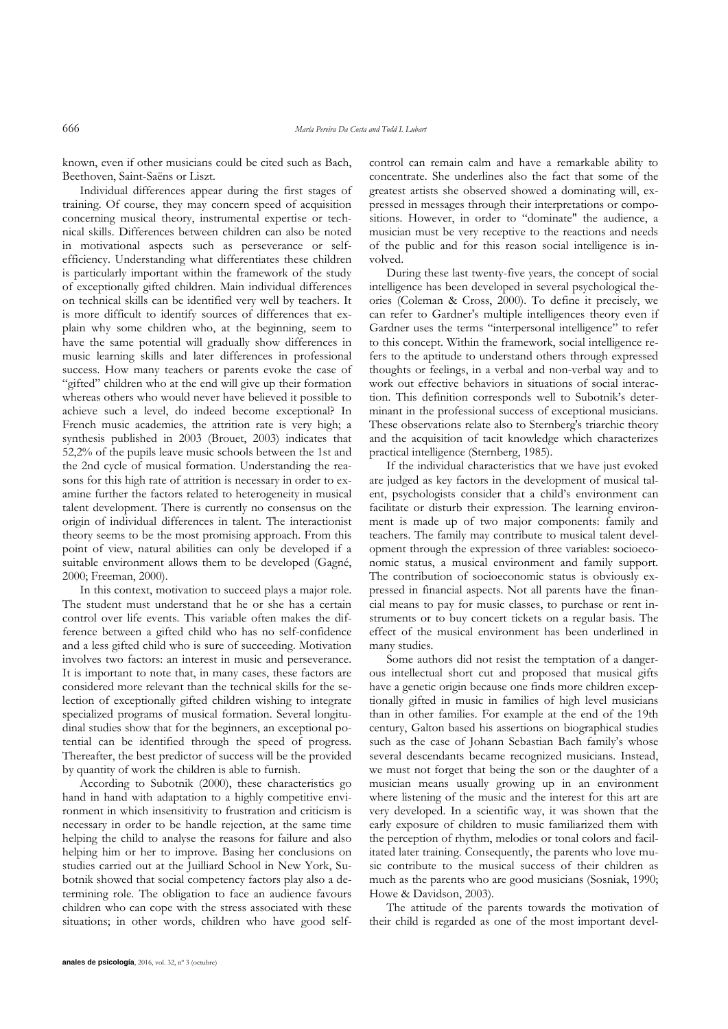known, even if other musicians could be cited such as Bach, Beethoven, Saint-Saëns or Liszt.

Individual differences appear during the first stages of training. Of course, they may concern speed of acquisition concerning musical theory, instrumental expertise or technical skills. Differences between children can also be noted in motivational aspects such as perseverance or selfefficiency. Understanding what differentiates these children is particularly important within the framework of the study of exceptionally gifted children. Main individual differences on technical skills can be identified very well by teachers. It is more difficult to identify sources of differences that explain why some children who, at the beginning, seem to have the same potential will gradually show differences in music learning skills and later differences in professional success. How many teachers or parents evoke the case of "gifted" children who at the end will give up their formation whereas others who would never have believed it possible to achieve such a level, do indeed become exceptional? In French music academies, the attrition rate is very high; a synthesis published in 2003 (Brouet, 2003) indicates that 52,2% of the pupils leave music schools between the 1st and the 2nd cycle of musical formation. Understanding the reasons for this high rate of attrition is necessary in order to examine further the factors related to heterogeneity in musical talent development. There is currently no consensus on the origin of individual differences in talent. The interactionist theory seems to be the most promising approach. From this point of view, natural abilities can only be developed if a suitable environment allows them to be developed (Gagné, 2000; Freeman, 2000).

In this context, motivation to succeed plays a major role. The student must understand that he or she has a certain control over life events. This variable often makes the difference between a gifted child who has no self-confidence and a less gifted child who is sure of succeeding. Motivation involves two factors: an interest in music and perseverance. It is important to note that, in many cases, these factors are considered more relevant than the technical skills for the selection of exceptionally gifted children wishing to integrate specialized programs of musical formation. Several longitudinal studies show that for the beginners, an exceptional potential can be identified through the speed of progress. Thereafter, the best predictor of success will be the provided by quantity of work the children is able to furnish.

According to Subotnik (2000), these characteristics go hand in hand with adaptation to a highly competitive environment in which insensitivity to frustration and criticism is necessary in order to be handle rejection, at the same time helping the child to analyse the reasons for failure and also helping him or her to improve. Basing her conclusions on studies carried out at the Juilliard School in New York, Subotnik showed that social competency factors play also a determining role. The obligation to face an audience favours children who can cope with the stress associated with these situations; in other words, children who have good selfcontrol can remain calm and have a remarkable ability to concentrate. She underlines also the fact that some of the greatest artists she observed showed a dominating will, expressed in messages through their interpretations or compositions. However, in order to "dominate" the audience, a musician must be very receptive to the reactions and needs of the public and for this reason social intelligence is involved.

During these last twenty-five years, the concept of social intelligence has been developed in several psychological theories (Coleman & Cross, 2000). To define it precisely, we can refer to Gardner's multiple intelligences theory even if Gardner uses the terms "interpersonal intelligence" to refer to this concept. Within the framework, social intelligence refers to the aptitude to understand others through expressed thoughts or feelings, in a verbal and non-verbal way and to work out effective behaviors in situations of social interaction. This definition corresponds well to Subotnik"s determinant in the professional success of exceptional musicians. These observations relate also to Sternberg's triarchic theory and the acquisition of tacit knowledge which characterizes practical intelligence (Sternberg, 1985).

If the individual characteristics that we have just evoked are judged as key factors in the development of musical talent, psychologists consider that a child"s environment can facilitate or disturb their expression. The learning environment is made up of two major components: family and teachers. The family may contribute to musical talent development through the expression of three variables: socioeconomic status, a musical environment and family support. The contribution of socioeconomic status is obviously expressed in financial aspects. Not all parents have the financial means to pay for music classes, to purchase or rent instruments or to buy concert tickets on a regular basis. The effect of the musical environment has been underlined in many studies.

Some authors did not resist the temptation of a dangerous intellectual short cut and proposed that musical gifts have a genetic origin because one finds more children exceptionally gifted in music in families of high level musicians than in other families. For example at the end of the 19th century, Galton based his assertions on biographical studies such as the case of Johann Sebastian Bach family"s whose several descendants became recognized musicians. Instead, we must not forget that being the son or the daughter of a musician means usually growing up in an environment where listening of the music and the interest for this art are very developed. In a scientific way, it was shown that the early exposure of children to music familiarized them with the perception of rhythm, melodies or tonal colors and facilitated later training. Consequently, the parents who love music contribute to the musical success of their children as much as the parents who are good musicians (Sosniak, 1990; Howe & Davidson, 2003).

The attitude of the parents towards the motivation of their child is regarded as one of the most important devel-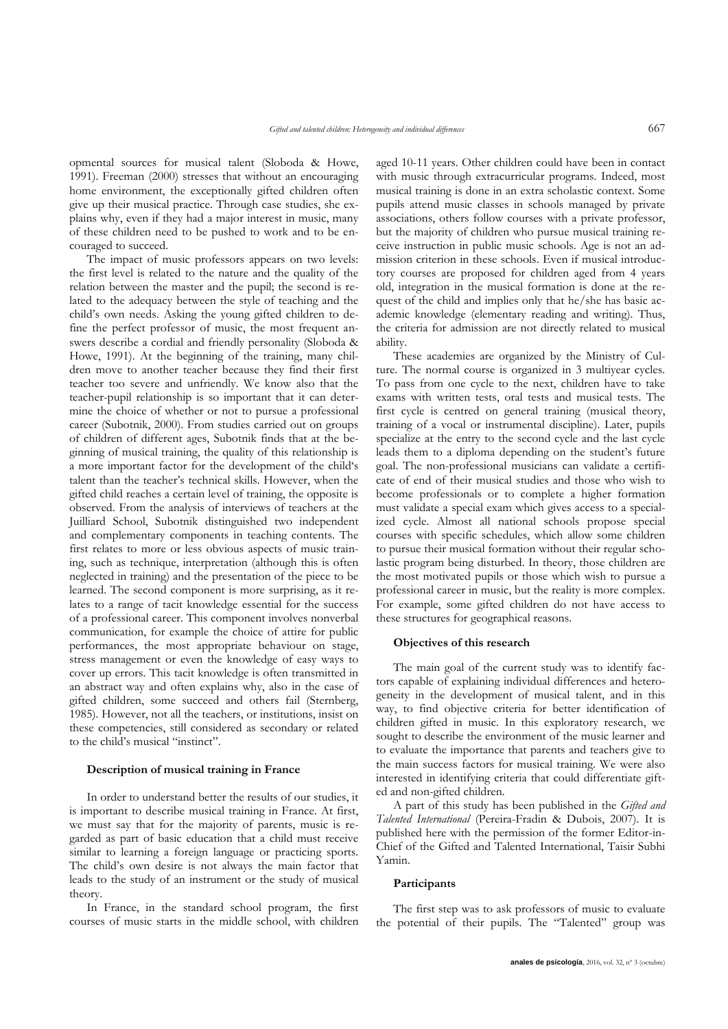opmental sources for musical talent (Sloboda & Howe, 1991). Freeman (2000) stresses that without an encouraging home environment, the exceptionally gifted children often give up their musical practice. Through case studies, she explains why, even if they had a major interest in music, many of these children need to be pushed to work and to be encouraged to succeed.

The impact of music professors appears on two levels: the first level is related to the nature and the quality of the relation between the master and the pupil; the second is related to the adequacy between the style of teaching and the child"s own needs. Asking the young gifted children to define the perfect professor of music, the most frequent answers describe a cordial and friendly personality (Sloboda & Howe, 1991). At the beginning of the training, many children move to another teacher because they find their first teacher too severe and unfriendly. We know also that the teacher-pupil relationship is so important that it can determine the choice of whether or not to pursue a professional career (Subotnik, 2000). From studies carried out on groups of children of different ages, Subotnik finds that at the beginning of musical training, the quality of this relationship is a more important factor for the development of the child"s talent than the teacher"s technical skills. However, when the gifted child reaches a certain level of training, the opposite is observed. From the analysis of interviews of teachers at the Juilliard School, Subotnik distinguished two independent and complementary components in teaching contents. The first relates to more or less obvious aspects of music training, such as technique, interpretation (although this is often neglected in training) and the presentation of the piece to be learned. The second component is more surprising, as it relates to a range of tacit knowledge essential for the success of a professional career. This component involves nonverbal communication, for example the choice of attire for public performances, the most appropriate behaviour on stage, stress management or even the knowledge of easy ways to cover up errors. This tacit knowledge is often transmitted in an abstract way and often explains why, also in the case of gifted children, some succeed and others fail (Sternberg, 1985). However, not all the teachers, or institutions, insist on these competencies, still considered as secondary or related to the child"s musical "instinct".

### **Description of musical training in France**

In order to understand better the results of our studies, it is important to describe musical training in France. At first, we must say that for the majority of parents, music is regarded as part of basic education that a child must receive similar to learning a foreign language or practicing sports. The child"s own desire is not always the main factor that leads to the study of an instrument or the study of musical theory.

In France, in the standard school program, the first courses of music starts in the middle school, with children aged 10-11 years. Other children could have been in contact with music through extracurricular programs. Indeed, most musical training is done in an extra scholastic context. Some pupils attend music classes in schools managed by private associations, others follow courses with a private professor, but the majority of children who pursue musical training receive instruction in public music schools. Age is not an admission criterion in these schools. Even if musical introductory courses are proposed for children aged from 4 years old, integration in the musical formation is done at the request of the child and implies only that he/she has basic academic knowledge (elementary reading and writing). Thus, the criteria for admission are not directly related to musical ability.

These academies are organized by the Ministry of Culture. The normal course is organized in 3 multiyear cycles. To pass from one cycle to the next, children have to take exams with written tests, oral tests and musical tests. The first cycle is centred on general training (musical theory, training of a vocal or instrumental discipline). Later, pupils specialize at the entry to the second cycle and the last cycle leads them to a diploma depending on the student"s future goal. The non-professional musicians can validate a certificate of end of their musical studies and those who wish to become professionals or to complete a higher formation must validate a special exam which gives access to a specialized cycle. Almost all national schools propose special courses with specific schedules, which allow some children to pursue their musical formation without their regular scholastic program being disturbed. In theory, those children are the most motivated pupils or those which wish to pursue a professional career in music, but the reality is more complex. For example, some gifted children do not have access to these structures for geographical reasons.

#### **Objectives of this research**

The main goal of the current study was to identify factors capable of explaining individual differences and heterogeneity in the development of musical talent, and in this way, to find objective criteria for better identification of children gifted in music. In this exploratory research, we sought to describe the environment of the music learner and to evaluate the importance that parents and teachers give to the main success factors for musical training. We were also interested in identifying criteria that could differentiate gifted and non-gifted children.

A part of this study has been published in the *Gifted and Talented International* (Pereira-Fradin & Dubois, 2007). It is published here with the permission of the former Editor-in-Chief of the Gifted and Talented International, Taisir Subhi Yamin.

#### **Participants**

The first step was to ask professors of music to evaluate the potential of their pupils. The "Talented" group was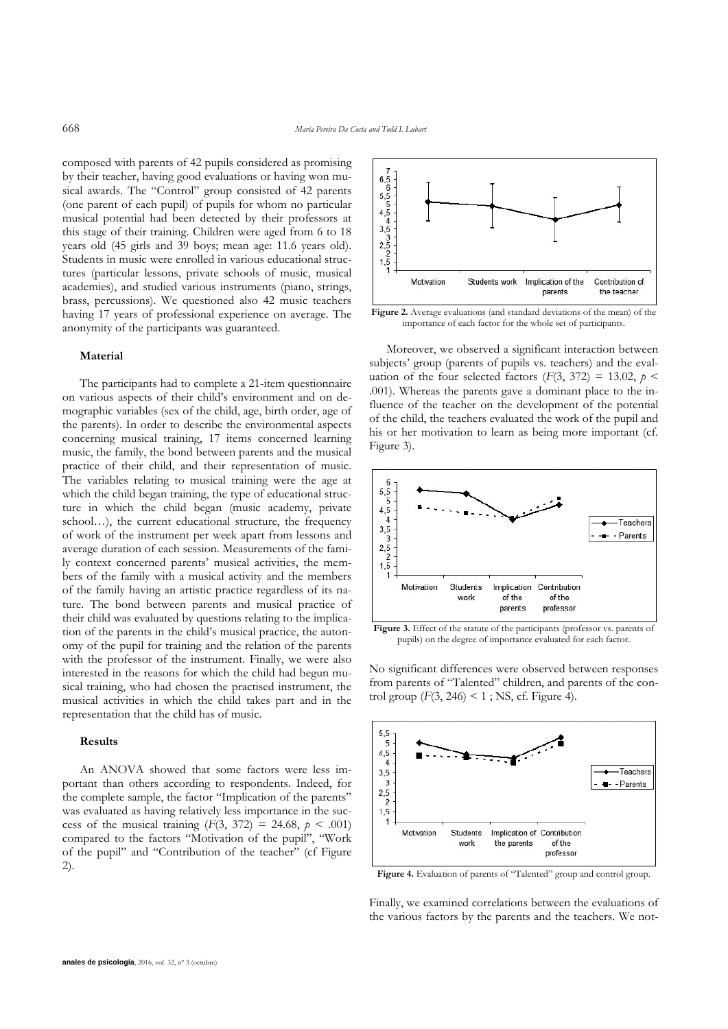composed with parents of 42 pupils considered as promising by their teacher, having good evaluations or having won musical awards. The "Control" group consisted of 42 parents (one parent of each pupil) of pupils for whom no particular musical potential had been detected by their professors at this stage of their training. Children were aged from 6 to 18 years old (45 girls and 39 boys; mean age: 11.6 years old). Students in music were enrolled in various educational structures (particular lessons, private schools of music, musical academies), and studied various instruments (piano, strings, brass, percussions). We questioned also 42 music teachers having 17 years of professional experience on average. The anonymity of the participants was guaranteed.

### **Material**

The participants had to complete a 21-item questionnaire on various aspects of their child"s environment and on demographic variables (sex of the child, age, birth order, age of the parents). In order to describe the environmental aspects concerning musical training, 17 items concerned learning music, the family, the bond between parents and the musical practice of their child, and their representation of music. The variables relating to musical training were the age at which the child began training, the type of educational structure in which the child began (music academy, private school…), the current educational structure, the frequency of work of the instrument per week apart from lessons and average duration of each session. Measurements of the family context concerned parents" musical activities, the members of the family with a musical activity and the members of the family having an artistic practice regardless of its nature. The bond between parents and musical practice of their child was evaluated by questions relating to the implication of the parents in the child"s musical practice, the autonomy of the pupil for training and the relation of the parents with the professor of the instrument. Finally, we were also interested in the reasons for which the child had begun musical training, who had chosen the practised instrument, the musical activities in which the child takes part and in the representation that the child has of music.

### **Results**

An ANOVA showed that some factors were less important than others according to respondents. Indeed, for the complete sample, the factor "Implication of the parents" was evaluated as having relatively less importance in the success of the musical training (*F*(3, 372) = 24.68,  $p < .001$ ) compared to the factors "Motivation of the pupil", "Work of the pupil" and "Contribution of the teacher" (cf Figure 2).



**Figure 2.** Average evaluations (and standard deviations of the mean) of the importance of each factor for the whole set of participants.

Moreover, we observed a significant interaction between subjects' group (parents of pupils vs. teachers) and the evaluation of the four selected factors  $(F(3, 372) = 13.02, p \leq$ .001). Whereas the parents gave a dominant place to the influence of the teacher on the development of the potential of the child, the teachers evaluated the work of the pupil and his or her motivation to learn as being more important (cf. Figure 3).



**Figure 3.** Effect of the statute of the participants (professor vs. parents of pupils) on the degree of importance evaluated for each factor.

No significant differences were observed between responses from parents of "Talented" children, and parents of the control group  $(F(3, 246) \le 1;$  NS, cf. Figure 4).



Figure 4. Evaluation of parents of "Talented" group and control group.

Finally, we examined correlations between the evaluations of the various factors by the parents and the teachers. We not-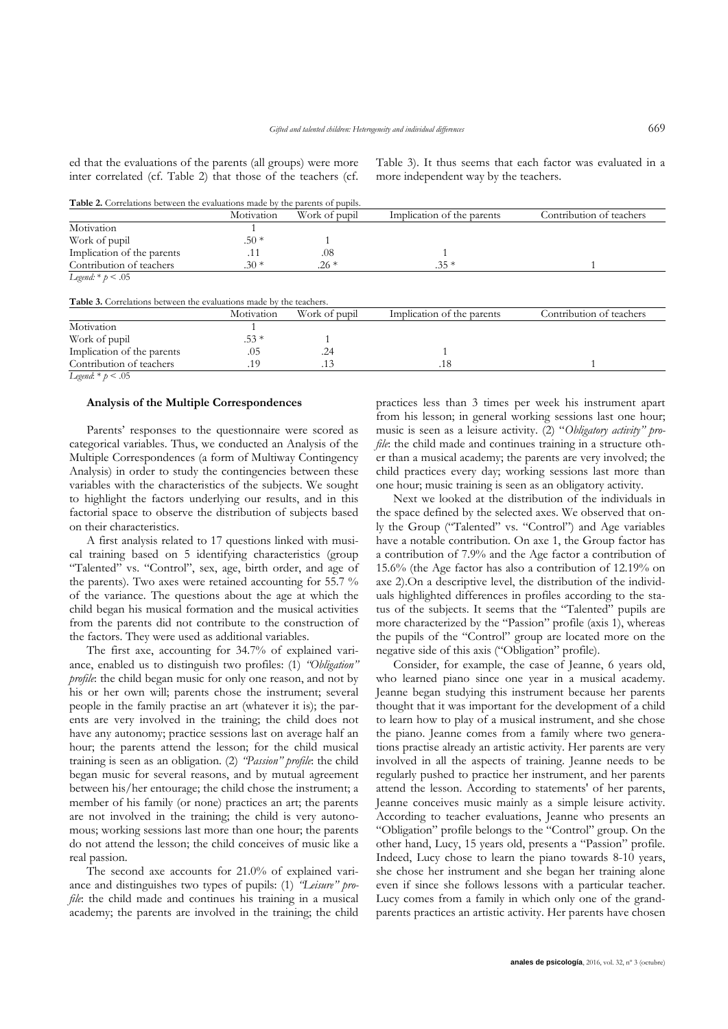ed that the evaluations of the parents (all groups) were more inter correlated (cf. Table 2) that those of the teachers (cf. Table 3). It thus seems that each factor was evaluated in a more independent way by the teachers.

| Table 2. Correlations between the evaluations made by the parents of pupils. |  |  |  |  |  |
|------------------------------------------------------------------------------|--|--|--|--|--|
|                                                                              |  |  |  |  |  |

|                                                                     | Motivation | Work of pupil | Implication of the parents | Contribution of teachers |
|---------------------------------------------------------------------|------------|---------------|----------------------------|--------------------------|
| Motivation                                                          |            |               |                            |                          |
| Work of pupil                                                       | $.50*$     |               |                            |                          |
| Implication of the parents                                          | .11        | .08           |                            |                          |
| Contribution of teachers                                            | $.30*$     | $.26*$        | $.35*$                     |                          |
| Legend: * $p < .05$                                                 |            |               |                            |                          |
| Table 3. Correlations between the evaluations made by the teachers. |            |               |                            |                          |
|                                                                     | Motivation | Work of pupil | Implication of the parents | Contribution of teachers |
| Motivation                                                          |            |               |                            |                          |
| Work of pupil                                                       | $.53*$     |               |                            |                          |
| Implication of the parents                                          | .05        | .24           |                            |                          |

*Legend*:  $* p < .05$ 

### **Analysis of the Multiple Correspondences**

Parents' responses to the questionnaire were scored as categorical variables. Thus, we conducted an Analysis of the Multiple Correspondences (a form of Multiway Contingency Analysis) in order to study the contingencies between these variables with the characteristics of the subjects. We sought to highlight the factors underlying our results, and in this factorial space to observe the distribution of subjects based on their characteristics.

Contribution of teachers .19 .13 .18 1

A first analysis related to 17 questions linked with musical training based on 5 identifying characteristics (group "Talented" vs. "Control", sex, age, birth order, and age of the parents). Two axes were retained accounting for 55.7 % of the variance. The questions about the age at which the child began his musical formation and the musical activities from the parents did not contribute to the construction of the factors. They were used as additional variables.

The first axe, accounting for 34.7% of explained variance, enabled us to distinguish two profiles: (1) *"Obligation" profile*: the child began music for only one reason, and not by his or her own will; parents chose the instrument; several people in the family practise an art (whatever it is); the parents are very involved in the training; the child does not have any autonomy; practice sessions last on average half an hour; the parents attend the lesson; for the child musical training is seen as an obligation. (2) *"Passion" profile*: the child began music for several reasons, and by mutual agreement between his/her entourage; the child chose the instrument; a member of his family (or none) practices an art; the parents are not involved in the training; the child is very autonomous; working sessions last more than one hour; the parents do not attend the lesson; the child conceives of music like a real passion.

The second axe accounts for 21.0% of explained variance and distinguishes two types of pupils: (1) *"Leisure" profile*: the child made and continues his training in a musical academy; the parents are involved in the training; the child

practices less than 3 times per week his instrument apart from his lesson; in general working sessions last one hour; music is seen as a leisure activity. (2) "*Obligatory activity" profile*: the child made and continues training in a structure other than a musical academy; the parents are very involved; the child practices every day; working sessions last more than one hour; music training is seen as an obligatory activity.

Next we looked at the distribution of the individuals in the space defined by the selected axes. We observed that only the Group ("Talented" vs. "Control") and Age variables have a notable contribution. On axe 1, the Group factor has a contribution of 7.9% and the Age factor a contribution of 15.6% (the Age factor has also a contribution of 12.19% on axe 2).On a descriptive level, the distribution of the individuals highlighted differences in profiles according to the status of the subjects. It seems that the "Talented" pupils are more characterized by the "Passion" profile (axis 1), whereas the pupils of the "Control" group are located more on the negative side of this axis ("Obligation" profile).

Consider, for example, the case of Jeanne, 6 years old, who learned piano since one year in a musical academy. Jeanne began studying this instrument because her parents thought that it was important for the development of a child to learn how to play of a musical instrument, and she chose the piano. Jeanne comes from a family where two generations practise already an artistic activity. Her parents are very involved in all the aspects of training. Jeanne needs to be regularly pushed to practice her instrument, and her parents attend the lesson. According to statements' of her parents, Jeanne conceives music mainly as a simple leisure activity. According to teacher evaluations, Jeanne who presents an "Obligation" profile belongs to the "Control" group. On the other hand, Lucy, 15 years old, presents a "Passion" profile. Indeed, Lucy chose to learn the piano towards 8-10 years, she chose her instrument and she began her training alone even if since she follows lessons with a particular teacher. Lucy comes from a family in which only one of the grandparents practices an artistic activity. Her parents have chosen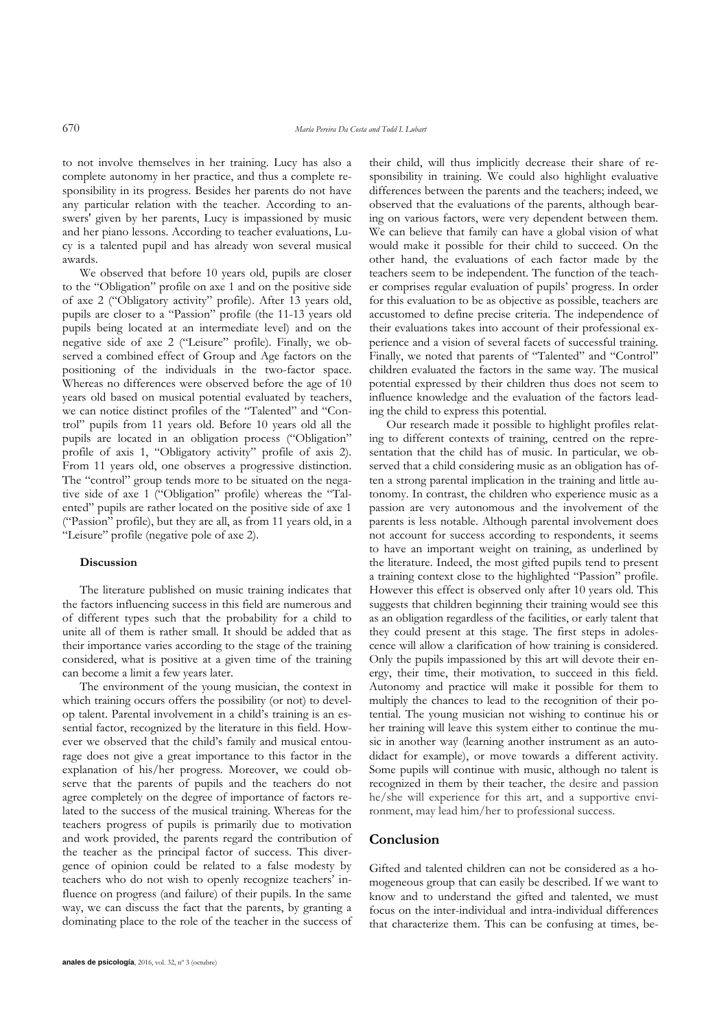to not involve themselves in her training. Lucy has also a complete autonomy in her practice, and thus a complete responsibility in its progress. Besides her parents do not have any particular relation with the teacher. According to answers' given by her parents, Lucy is impassioned by music and her piano lessons. According to teacher evaluations, Lucy is a talented pupil and has already won several musical awards.

We observed that before 10 years old, pupils are closer to the "Obligation" profile on axe 1 and on the positive side of axe 2 ("Obligatory activity" profile). After 13 years old, pupils are closer to a "Passion" profile (the 11-13 years old pupils being located at an intermediate level) and on the negative side of axe 2 ("Leisure" profile). Finally, we observed a combined effect of Group and Age factors on the positioning of the individuals in the two-factor space. Whereas no differences were observed before the age of 10 years old based on musical potential evaluated by teachers, we can notice distinct profiles of the "Talented" and "Control" pupils from 11 years old. Before 10 years old all the pupils are located in an obligation process ("Obligation" profile of axis 1, "Obligatory activity" profile of axis 2). From 11 years old, one observes a progressive distinction. The "control" group tends more to be situated on the negative side of axe 1 ("Obligation" profile) whereas the "Talented" pupils are rather located on the positive side of axe 1 ("Passion" profile), but they are all, as from 11 years old, in a "Leisure" profile (negative pole of axe 2).

### **Discussion**

The literature published on music training indicates that the factors influencing success in this field are numerous and of different types such that the probability for a child to unite all of them is rather small. It should be added that as their importance varies according to the stage of the training considered, what is positive at a given time of the training can become a limit a few years later.

The environment of the young musician, the context in which training occurs offers the possibility (or not) to develop talent. Parental involvement in a child"s training is an essential factor, recognized by the literature in this field. However we observed that the child"s family and musical entourage does not give a great importance to this factor in the explanation of his/her progress. Moreover, we could observe that the parents of pupils and the teachers do not agree completely on the degree of importance of factors related to the success of the musical training. Whereas for the teachers progress of pupils is primarily due to motivation and work provided, the parents regard the contribution of the teacher as the principal factor of success. This divergence of opinion could be related to a false modesty by teachers who do not wish to openly recognize teachers' influence on progress (and failure) of their pupils. In the same way, we can discuss the fact that the parents, by granting a dominating place to the role of the teacher in the success of their child, will thus implicitly decrease their share of responsibility in training. We could also highlight evaluative differences between the parents and the teachers; indeed, we observed that the evaluations of the parents, although bearing on various factors, were very dependent between them. We can believe that family can have a global vision of what would make it possible for their child to succeed. On the other hand, the evaluations of each factor made by the teachers seem to be independent. The function of the teacher comprises regular evaluation of pupils" progress. In order for this evaluation to be as objective as possible, teachers are accustomed to define precise criteria. The independence of their evaluations takes into account of their professional experience and a vision of several facets of successful training. Finally, we noted that parents of "Talented" and "Control" children evaluated the factors in the same way. The musical potential expressed by their children thus does not seem to influence knowledge and the evaluation of the factors leading the child to express this potential.

Our research made it possible to highlight profiles relating to different contexts of training, centred on the representation that the child has of music. In particular, we observed that a child considering music as an obligation has often a strong parental implication in the training and little autonomy. In contrast, the children who experience music as a passion are very autonomous and the involvement of the parents is less notable. Although parental involvement does not account for success according to respondents, it seems to have an important weight on training, as underlined by the literature. Indeed, the most gifted pupils tend to present a training context close to the highlighted "Passion" profile. However this effect is observed only after 10 years old. This suggests that children beginning their training would see this as an obligation regardless of the facilities, or early talent that they could present at this stage. The first steps in adolescence will allow a clarification of how training is considered. Only the pupils impassioned by this art will devote their energy, their time, their motivation, to succeed in this field. Autonomy and practice will make it possible for them to multiply the chances to lead to the recognition of their potential. The young musician not wishing to continue his or her training will leave this system either to continue the music in another way (learning another instrument as an autodidact for example), or move towards a different activity. Some pupils will continue with music, although no talent is recognized in them by their teacher, the desire and passion he/she will experience for this art, and a supportive environment, may lead him/her to professional success.

### **Conclusion**

Gifted and talented children can not be considered as a homogeneous group that can easily be described. If we want to know and to understand the gifted and talented, we must focus on the inter-individual and intra-individual differences that characterize them. This can be confusing at times, be-